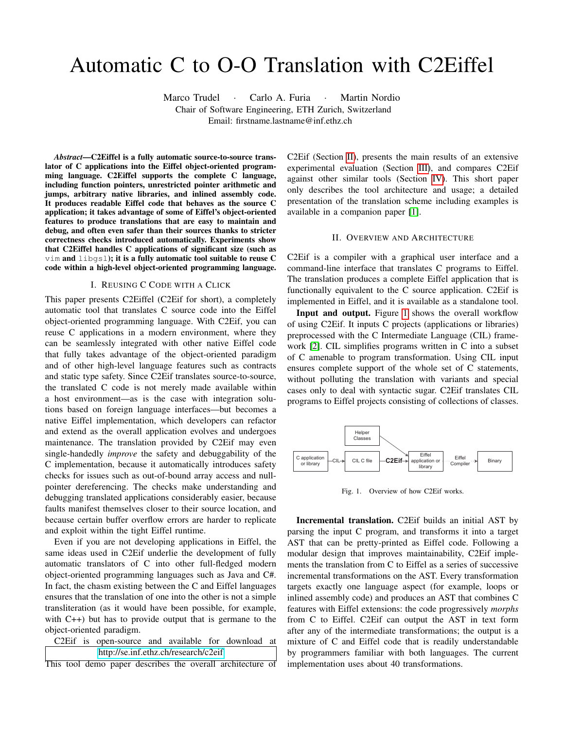# Automatic C to O-O Translation with C2Eiffel

Marco Trudel · Carlo A. Furia · Martin Nordio Chair of Software Engineering, ETH Zurich, Switzerland

Email: firstname.lastname@inf.ethz.ch

*Abstract*—C2Eiffel is a fully automatic source-to-source translator of C applications into the Eiffel object-oriented programming language. C2Eiffel supports the complete C language, including function pointers, unrestricted pointer arithmetic and jumps, arbitrary native libraries, and inlined assembly code. It produces readable Eiffel code that behaves as the source C application; it takes advantage of some of Eiffel's object-oriented features to produce translations that are easy to maintain and debug, and often even safer than their sources thanks to stricter correctness checks introduced automatically. Experiments show that C2Eiffel handles C applications of significant size (such as vim and libgsl); it is a fully automatic tool suitable to reuse C code within a high-level object-oriented programming language.

## I. REUSING C CODE WITH A CLICK

This paper presents C2Eiffel (C2Eif for short), a completely automatic tool that translates C source code into the Eiffel object-oriented programming language. With C2Eif, you can reuse C applications in a modern environment, where they can be seamlessly integrated with other native Eiffel code that fully takes advantage of the object-oriented paradigm and of other high-level language features such as contracts and static type safety. Since C2Eif translates source-to-source, the translated C code is not merely made available within a host environment—as is the case with integration solutions based on foreign language interfaces—but becomes a native Eiffel implementation, which developers can refactor and extend as the overall application evolves and undergoes maintenance. The translation provided by C2Eif may even single-handedly *improve* the safety and debuggability of the C implementation, because it automatically introduces safety checks for issues such as out-of-bound array access and nullpointer dereferencing. The checks make understanding and debugging translated applications considerably easier, because faults manifest themselves closer to their source location, and because certain buffer overflow errors are harder to replicate and exploit within the tight Eiffel runtime.

Even if you are not developing applications in Eiffel, the same ideas used in C2Eif underlie the development of fully automatic translators of C into other full-fledged modern object-oriented programming languages such as Java and C#. In fact, the chasm existing between the C and Eiffel languages ensures that the translation of one into the other is not a simple transliteration (as it would have been possible, for example, with C++) but has to provide output that is germane to the object-oriented paradigm.

C2Eif is open-source and available for download at <http://se.inf.ethz.ch/research/c2eif>

This tool demo paper describes the overall architecture of

C2Eif (Section [II\)](#page-0-0), presents the main results of an extensive experimental evaluation (Section [III\)](#page-1-0), and compares C2Eif against other similar tools (Section [IV\)](#page-1-1). This short paper only describes the tool architecture and usage; a detailed presentation of the translation scheme including examples is available in a companion paper [\[1\]](#page-1-2).

### II. OVERVIEW AND ARCHITECTURE

<span id="page-0-0"></span>C2Eif is a compiler with a graphical user interface and a command-line interface that translates C programs to Eiffel. The translation produces a complete Eiffel application that is functionally equivalent to the C source application. C2Eif is implemented in Eiffel, and it is available as a standalone tool.

Input and output. Figure [1](#page-0-1) shows the overall workflow of using C2Eif. It inputs C projects (applications or libraries) preprocessed with the C Intermediate Language (CIL) framework [\[2\]](#page-1-3). CIL simplifies programs written in C into a subset of C amenable to program transformation. Using CIL input ensures complete support of the whole set of C statements, without polluting the translation with variants and special cases only to deal with syntactic sugar. C2Eif translates CIL programs to Eiffel projects consisting of collections of classes.



<span id="page-0-1"></span>Fig. 1. Overview of how C2Eif works.

Incremental translation. C2Eif builds an initial AST by parsing the input C program, and transforms it into a target AST that can be pretty-printed as Eiffel code. Following a modular design that improves maintainability, C2Eif implements the translation from C to Eiffel as a series of successive incremental transformations on the AST. Every transformation targets exactly one language aspect (for example, loops or inlined assembly code) and produces an AST that combines C features with Eiffel extensions: the code progressively *morphs* from C to Eiffel. C2Eif can output the AST in text form after any of the intermediate transformations; the output is a mixture of C and Eiffel code that is readily understandable by programmers familiar with both languages. The current implementation uses about 40 transformations.